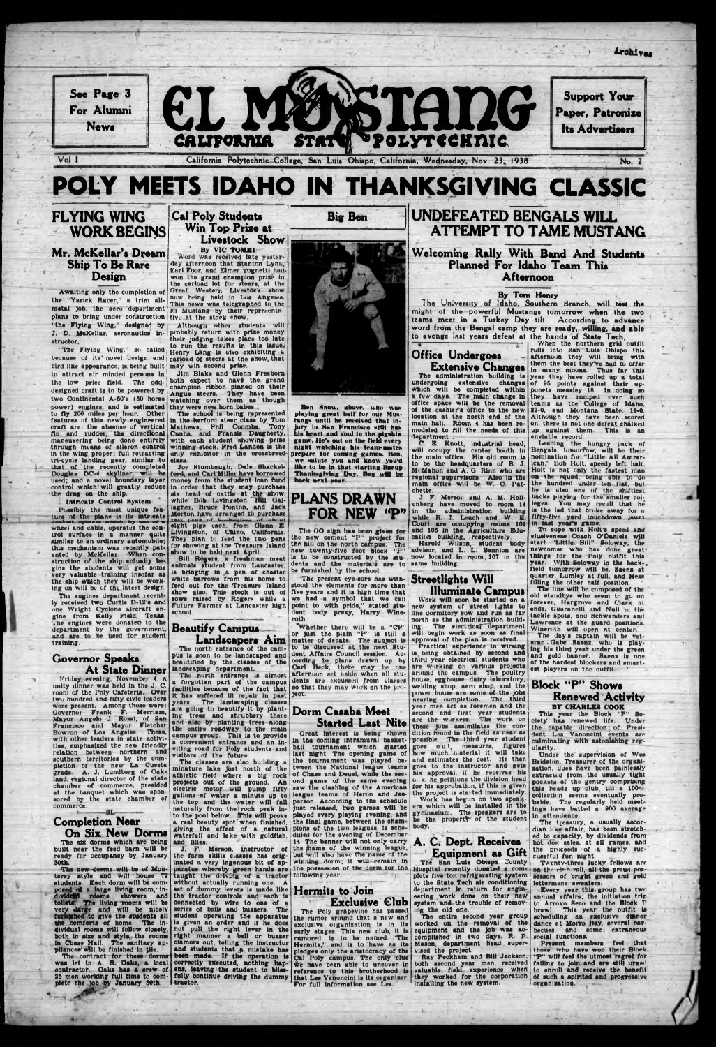

# **FLYING WING WORK BEGINS**

## Mr. McKellar's Dream Ship To Be Rare Design

Awaiting only the completion of the "Yarick Racer," a trim all-<br>metal job, the aero department metal Job, the aero department moth fou, the acto uspartment  $E_1$  Mustang-by their represents.<br>plans to bring under construction tive at the stock show. "the Flying Wing," designed by J. D. McKellar, aeronautics instructor.

"The Flying Wing," so called because of its' novel design and bird like appearance, is being built to attract air minded persons in the low price field. The odddesigned craft is to be powered by<br>two Continental A-50's (50 horse two Oontlnerrtal A-flO's (BO horse power) engines, and is estimated to fly 1200 miles per hour. Other features of this newly engineered craft are: the absense of vertical fin and rudder, the directional maneuvering being done entirely through means of aileron control in the wing proper; full retracting tri-cycle landing gear, similar to that of the recently completed Douglas DC-4 akyllner, will be used; and a novel boundary layer control which will greatly reduce •the drag on the ship.

Intricate Control System

Although other students will probably return with prise money their Judging takes place too late to run the results in this issue. Henry Lang is sho exhibiting a carload of steers at the show, that may win second prise.

Jim Blake and Glenn Freeborn<br>both expect to have the grand both expect to have the grand champion ribbon pinned on their Angus steers. They have been watching over them as though they were new born babes.. ,

The school is being represented in the herford steer class by Tom Mathews, Phil Coombs, Tony m the neriotic steer class by Yom.<br>Mathews, Phil Coombs, Tony<br>Cunha, and Francis Daugherty, with each student showing prise winning stock. Fred Landon is the only exhibitor in the crossbreed  $cl$ ara,  $K = \frac{1}{2}$ 

Possibly the most unique feature of the plane is its intricate ■—iira>, a y ta wi wliOh, try *% m m* —# • wheel and cable, operates the control surface In a manner quite similar to an ordinary automobile; this mechanism was recently patented by McKellar. When construction of the ship actually begins the students will get some very valuable training insofar as the ship which they will be working on will be of the latest design.

Joe Stonibaugh. Dale Shackelford, and Carl Miller have borrowed money from the student loan fund in order that they may purchaae six head of cattle at the show, while Bob Livingston, Bill Gallagher, Bruce Ponton, and Jack Morton have arranged to purchase tum pens of <del>limitations</del> of about eight pigs each, from Glenn E. Livingston, of Chino, California. They plan to feed the two pens for showing at the Treasure Island show to be held next April.

The engines department recently received two Curtis D-12's and • me Wright Cyclone aircraft engine from Kelly Field, Texas, 'i he engines were donated to the department by the government and are to be used for student training.

# Big Ben **UNDEFEATED BENGALS WILL ATTEMPT TO TAME MUSTANG**

Welcoming Rally With Band And Students Planned For Idaho Team Thu **Afternoon** 

## **By Tom Henry**

## Cal Poly Students Win Top Prize at Livestock Show

### By VIC TOMEL Word was received late yesterday afternoon that Stanton Lynn, Karl Foor, and Klmer Tognettl hud. won the grand champion prise in the carload lot for steers, at the Great' Western Livestock show now being held In Los Angeies. This news was telegraphed to the tive at the stock show.

## Completion Near On Six New Dorms

The contract for these dorms was let to A. R. Oaks, a local contractor. Oaks has a ersw of 2S men working full time to complete the Job hy January 30th.

Landscapers Aim The north entrance of the campus is soon to be landscaped and beautified by the classes of the landscaping department.

The north entrance is almost a forgotten part of the campus facilities because of the fact that It has suffered 111 repair in past years. The landscaping classes are going to beautify it by planting trees and shrubbery there and also by planting trees along the entire roadway to the main campua group. This is to provide a convenient entrance and an inviting road for Poly students and visitors of the future.



Bill Rogers, a freshman meat animals itudent from Lancaster, is bringing in .a pen of cheater white barrows from his home to feed out for the Treasure Island show also. This stock is out of sows raised by Rogers while a Future Farmer at Lancaster high school.

## **Beautify Campus**

## Governor Speaks At State Dinner

Friday evening, November 4, a unity dinner was held in the J. C. room of the Poly Cafeteria. Over two hundred and fifty civic leaders were present. Among those were:

"Whether there will be a "CP" or just the plain "P" is still a matter of debate. The aubject ia to be dlacussed at the next Student Affairs Council session. According to plans drawn up by Carl Beck, thebe may be one afternoon set aside when all students are excussed from classes so that they may work on the project.

Governor Frank F. Merrlam, Mayor Angelo J. Rossi, of San Francisco and Mayor Fletcher Bowron of Los Angeles. These, with other leaders in state activities, emphasized the new friendly relation between northern and southern territories by the completion of the new La Cuesta grade A. J. Lundberg of Oakland, regional director of the state chamber of commerce, presided at the banquet which was sponsored by the state chamber of commerce.

The six dorms which are being built near the feed bam will be ready for occupancy by January 30th.

When the northern grid outfit rolls Into San Luis Obispo this afternoon they will bring with **Extensive Changes**  $\begin{bmatrix}$  them the best they've had to offer in many moons. Thus far this year they have rolled up a total of 95 points against their opponets meaaley 18. In doing so they have romped over such teams as the College of Idaho, 22-0, and Montana State, 16-0. Although they have been scored on, there is not one defeat chalked up against them This is an enviable record. Office Undergoes - afternoon they will bring with

The new dorms will be of Monterey style and will house 73 students. Each dorm will be composed n# a large living room,' individual rdoms, showers and toilets? The living rooms will be very darge and will be nicely furnished to give the students all t*tm* comforts of home. The individual rooms will follow clossly, both in size and style, the rooms In Chase Hall. The sanitary appliances'will bo finished In tile.

The line will be composed of the old standbys who seem to go on forever, Hargrove and Clark at ends, Guaranelli and Null in the tackle spots, and Schwanders and Lawrence at the guard positions. Wlneroth will open at center.

The day'e captain will be veteran - Gabc Saenz, who Is playing his third year under the green and gold banner. Saenz is one of the hardest blockers and smartest players on the outfit.

J. F. Mersoi: and A. M. Hollcnberg have moved to room 14 in the administration building while R. I. Leach and W E Court are occupying rooms 101 and 10B in the. Agriculture Education building, respectively. Harold Wilson, student body advisor, and L. L. Bennion are now located In rqom j 107 In the same building.

The classes are also building a mlnature lake Just north of the athletic field where a big rock projects out of the ground. An electric motor will pump fifty gallons of water a minute up to the top and the water will fall naturally from the rock peak into the pool below. This will prove a real beauty spot when finished, giving the effect of a natural waterfall and lake with goldfish, and lilies.

## Streetlights Will Illuminate Campus

around the campus. The poultry house, egghouse, dairy laboratory, welding shop, aero shop, and the power house are some of the Jobs nearing completion. The third year men act as foremen and the second and first year students are the workers. The work on these Jobs assimilates the condition found in the field as near as possible. The third year student **goes** out, measures, figures<br>how much material it will take uw much material It will take and estimates the cost. He then goes to. the Instructor and gets his approval, If he receives his o. k. he petitions the division head for his approbation, if this is given the project is started immediately. Work has begun on two speakers which will be installed in the gymnasium. The speakers are to be the property of the student body.

J. F. Meraon, Instructor of the farm skills classss has originated a very lngenous bit of apparatus whereby green hands are taught the driving of a tractor without actually running one. set of dummy levers is made like the tractor controls and each is connected by wire to one of a series of bells and buzzers. The student operating the apparatus is given an order and if he does not pull the right lever In the tight manner a bell or buzzer clamors out, telling the instructor and students that *jl* mistake has been made. If the operation is correctly executed, nothing hapens, leaving the student to blissfully continue driving the dummy traotor.

Ben Snow, above, who wan playing great ball lor our Mustangs until he received that Injury In Man Francisco still has his heart and soul In the pigskin game. He's out on the field every night watching his team-mates prepare for coming guinea. Hen, we salute you and know you'd like to be In that starting lineup Thanksgiving puy. Ben will be hack next year.

# **PLANS DRAWN FOR NEW "P"**

The GO sign has been given for the new cement "P" project for the hill on the north campus. The new twenty-five foot block "P" Is to be constructed by the students and the materials are to be fumlahed by the achool.

> Block "P" Shows Renewed Activity BY CHARLES COOK This year the Block "P" Society has renewed life. Under the capable direction of President Les Vanoncinl events are culminating with astonishing regularity. Under the supervision of Wes Bridston. Treasurer of the organization, dues have been painlessly extracted from the usually tight pockets of the gentry comprising this heads up club, till a 100% collection seems eventually probable The regularly held meetings have batted a .900 average In attendance. The treasury, a usually accordlan like affair, has been stretched to capacity, by dividends from hot doe sales, at all games, and the proceeds of a highly suecuasfful fun night. Tventv-three lucky fellows are on the cinh roll, all the proud possessors of bright green and gold lettermens sweaters. Every year this-group has two annual affairs; the initiation trip to Arroyo Seco and the Rloek P brawl. This year the outfit is scheduling an exclusive dinner dance at Morro Bay. several barbecues. and some extraneous social functions.

"The present eye-sore has withstood the elements for more than five years and it is high time that we had a symbol that we can point to with pride," stated student body prexy, Harry Wineroth.

## Dorm Casaba Meet Started Last Nite

Great interest is being shown in the coming intramural basketball tournament which started last night. The opening game of the tournament was played between the National league teams of Chase and Deuel, while the second game of the same evening saw the clashing of the American league teams of Heron and Jesperaon. According to the achedule just released, two gamea will be played every playing evening, and the final game, between the cham plona of the two leagues, is sche duled for the evening of December 14. The banner will not only carry

the fhame of the winning league but will also have the name of the winning dorm; it will remain in the possession of the dorm for the following year.

# Hermits to Join

Exclusive Club The Foly grapevine has passed the rumor around that a new and exclusive organization is in its early stages. This new club, It is rumored, Is to be named "The Hermits," and is to have as its pledges only the aristocracy of the **Cal Poly campus. The only clue**<br> **We have been able to uncover in**<br> **We have been able to uncover in** *r* have been able to uncover in reference to this brotherhood is that Les Vanoncinl is its organizer. For full Information see Les.

## A. C. Dept. Receives **Equipment as Gift**

The University of Idaho, Southern Branch, will test the might of the powerful Mustangs tomorrow when the two teams meet in a Turkey Day tilt. According to advance word from the Bengal camp they are ready, willing, and able to avenge last years defeat at the hands of State Tech.

Leading the hungry puck of Bengals. lomorfow, will be their nomination for "Little All Amrerican." Bob Holt, speedy left halt Holt is not only the fastest man on the squad, being able to do the hundred under ten flat, but he is also one of the shiftiest. backs playing for the smaller colleges. You may recall that he Is the lad that broke away for a fifty-five yard touchdown Jaunt In last year's gamo.

To cope with Hult'a speed and elusiveness Coach O'Daniels will start "Little Bill" Soloway, the newcomer who has done great' things for the Poly outfit this year. With Soloway in the back-, field tomorrow will be, Saens at quarter, Lumley at full, and Hess filling the other half position.

The administration building ia undergoing extensive changes which will be completed within a few days. The main change in office space will be the removal of the cashier's office to the new location at the north end of the main hall. Room 4 has been remodeled to fill the needs of this department .

C. E. Knott, Industrial head, will occupy the center booth in the main office. His old room is to be the headquarters of B. J. McMahon and A. G. Rinn who are regional supervisors. Also In the main office will be W. C. Patchette.

Work will soon be started on a new system of street lights to line dormitory row and run as far north as the administration building. The electricar'ilepartment will begin work as soon as final approval of the plan Is received. Practical experience in wireing Is being obtained by second and third year electrical students who are working on various projects

The San Luis Obispo County Hospital recently donated a complete five ton refrigerating system to the State Tech air conditioning department In return for engineering work done on their new system and the trouble of remov-

ing the old one-" The entire second year group worked on the removal of the equipment and the Job was accomplished In two days. R. P. Mason, department head super-

vised the project. Ray PecKham and Bill Jackson, both second year men, received valuable field experience when they worked for the corporation Installing the new system.

Present members feel that those, who have won their Block 'P" will feel the utmost regret for failing to join and are still urged to enroll and receive the benefit Of such s spirited and progressive organization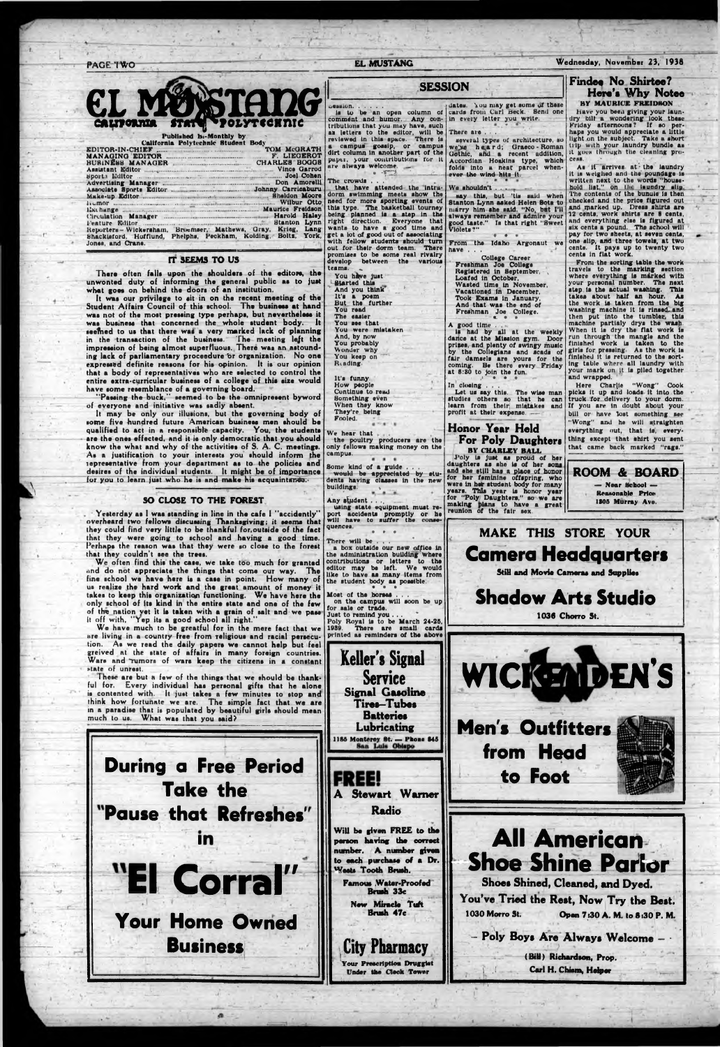5l

PAGE TWO **EL MUSTANG EL MUSTANG EL MUSTANG EL MUSTANG EL MUSTANG EL MUSTANG EL MUSTANG EL MUSTANG EL MUSTANG** 

feature Kill tor ...................................... ..........Stanton Lynn Reporters- Wlckeraham, Broemser, Mathews, Gray, Krleg, Lang Shackleford, Hofflund, Phelphs, Peckham, Kolding, Boltz, York, Jones, and Crane.

|                                                                | STADG                                      |
|----------------------------------------------------------------|--------------------------------------------|
|                                                                |                                            |
|                                                                |                                            |
| STAT<br>CALIFORNIA                                             |                                            |
|                                                                |                                            |
| Published bi-Monthly by<br>California Polytechnic Student Body |                                            |
|                                                                | TOM McGRATH                                |
|                                                                | <b>F. LIEGEROT</b>                         |
| <b>BUSINESS MANAGER</b>                                        | <b>CHARLES BOGGS</b>                       |
| Assutant Editor                                                | Vince Garrod                               |
|                                                                | <b>Joel Cohen</b>                          |
|                                                                | Don Amorelli                               |
| Associate Sports Editor                                        | Johnny Carricaburu                         |
| Make-up Editor                                                 | <b>Sheldon Moore</b><br><b>Wilbur Otto</b> |
| $\mathbf{I}$<br>likt hange immunes                             | Maurice Freidson                           |
| Circulation Manager                                            | Harold Haley                               |
|                                                                |                                            |

It may be only our illusions, but the governing body of some five hundred future American business men should be qualified to act in a responsible capacity. You, the students are the ones effected, and it is only democratic that you should know the what and why of the activities of S. A. C. meetings. As a justification to your interests you should inform the representative from your department as to the policies and desires of the individual students. It might be of importance for you to learn just who he is and make his acquaintance.

## **SO CLOSE TO THE FOREST**

## **IT SEEMS TO US**

There often falls upon the shoulders of the editors, the unwonted duty of informing the general public aa to just what goes on behind the doors of an institution.

It was our privilege to sit in on the recent meeting of the Student Atfaira Council of this school. The business at hand was not of the most pressing type perhaps, but nevertheless it was business that concerned the whole student body. It seefhed to us that there was a very marked lack of planning in the transaction of the business. The meeting le/t the impression of being almost superfluous. There was an astounding lack of parliamentary proceedure br organization. No one expressed definite reasons for his opinion. It is our opinion that a body of representatives who are selected to control the entire extra-curricular business of a college of this size would have some resemblance of a governing board.

These are but a few of the things that we should be thankful for. Every individual has personal gifts that he alone is contented with, it just takes a few minutes to stop and think how fortunate we are. The simple fact that we are

酒

" Passing the buck," seemed to be the omnipresent byword of everyone and initiative was sadly absent.

You keep on Reading It's funny How people Continue to read Something even When they know They're being Pooled.

We hear that. the poultry producers are the only fellows making money on the campus.

Some kind of a guide. would be appreciated by students having claases in the new buildings.

Any student .. using state equipment must report accidents promptly or be will have to suffer the consequences

Yesterday as I was standing in line in the cafe I "accidently" overheard two fellows discussing Thanksgiving; it seems that they could find very little to be thankful for,outside of the fact that they were going to school and having a good time. Perhaps the reason was that they were so close to the forest that they couldn't see the trees.

dates. You may get some of these cards from Curl neck. Bend one

We often find this the case, we take too much for granted and do not appreciate the things that come our way. The fine school we have here is a case in point. How many of us realize the hard work and the great amount of money it takes to keep this organization functioning. We have here the only school of its kind in the entire state and one of the few of the nation vet it is taken with a grain of salt and we pass it off with. "Yep its a good school all right."

We have much to be greatful for in the mere fact that we are living in a country free from Teligious and racial persecution. As we read the daily papers we cannot help but feel greived at the state of affairs in many foreign countries. Wars and 'rumors of wars keep the citizens in a constant state of unrest.

In closing. Let us say this. The wise man studies others so that he can learn from their<sub>i</sub> mistakes and profit at their expense. —

Here's Why Notee **BY MAURICE FREIDSON** have you been giving your laundry bill a wondering look these Friday afternoons ? If so perhaps you would appreciate a little light on the subject. Take a short trip with your laundry bundle as it goes through the cleaning pro-

As it arrives at the laundry It is weighed and the poundage is written next to the words "house-<br>hold list," on the laundry slip<br>The contents of the bunule is then

checked and the price figured out<br>and marked up. Dress shirts are and marked up. Dress shirts are 12 cents, work shirts are 8 cents, and everything else is figured at six cents a pound. The school will pay for two sheets, at seven cents, one slip, and three towels, at two cents. It pays up to twenty two

 $\overline{L_{\rm P}}$ 

From the sorting table the work travels to the marking section where everything Is mirked with your personal number. The next step Is the actual washing. This takes about half an hour. As the work is taken from the big washing machine it is rinsed, and then put Into the tumbler, this machine partlaly drys the wash. When it is dry the flat work is run through the mangle and the finished work Is taken to the girls for pressing As the work Is finished it Is returned to the sorting table where alt laundry with your mark on it is piled together

Here Charlie "Wong" Cook picks It up and loads It into the truck for delivery to your dorm. If you are In doubt about your bill or have lost something see 'Wong" and he will straighten everything out, that is, everything except that shirt you sent

Wonder why



• ♦ \*

There will be a box outside our new office in the administration building where contributions or letters to the editor may be lefl. We would like to have as many items from the student body as possible.

Most of the horses on the campus will soon be up for sale or trade. Just to remind you.

SESSION ucssion............... be an open column of comment and humor. Any contributions that you may have, such an letters to the editor, will be reviewed In Ihts space. There is a campus' gossip, or campus dirt column In another part of the puptr, your contributions for 11 are always welcome. — \* - r - l . :\_\_\_\_\_\_\_\_\_\_ The crowds that have gttended the Intrudorm swimming meets show the need for more sporting events of this type. The basketball tourney being planned is a step in the right direction. Everyone that wants to have a good time and get a lot of good out of associating with fellow students should turn out for their dorm team. There promises to be some real rivalry develop between the various teams. You have just Started this And you think It's a poem But the further You read The easier You see that You were mistaken And, by now You probably in every letter you write. \* *r ■ ,* . There are . several types of architecture, so we'**ye** h **e**,a r d; Graeco - Roman ever the wind hits it. We shouldn't ... Violets?"  $\psi = \phi = \psi$ From the Idaho Argonaut we have . . . College Career Freshman Joe College Registered In September, , Loafed In October, Wasted time In November, Vacationed in December, Took Exams In January, And that was the end of Freshman Joe College.<br>■ ● ● A good time .

Poly Royal la to be March 24-3S, There are small cards printed as reminders of the above

Keller's Signal

**Service** Signal Gasoline Tires-Tubes

Gothic, ahd a recent addition, Accordlan Hoskins type, which folds into a neat parcel when-

say this, but 'tis said when Stanton Lynn asked Helen Bota to marry him she said. "No, bat I'll always remember and admire your good taste." Is that right "Sweet!

is had by all at the weekly dance at the Mission gym. Door prizes, and plenty of swlngy music by the Collegians and scads of fair damsels are yours for the coming. Be there every Friday at 8:30 to Join the fun *,i \** • \*

## Honor Year Held For Poly Daughters

BY CHARLEY BALL Poly la just as proud of her

daughters as she is of htr sons and she still hag s **place** of honor for her feminine offspring, who were In bet student body for many years. This year is honor year for "Poly Daughters," so wa are making plans to have a great reunion of the fair sex.

Findee No Shirtee?

cess.

cents In flat work.

and wrapped.

that came back marked "rags."

ROOM *A* BOARD **— Near School — Reasonable Price**

**1805 Murray Ave.**



I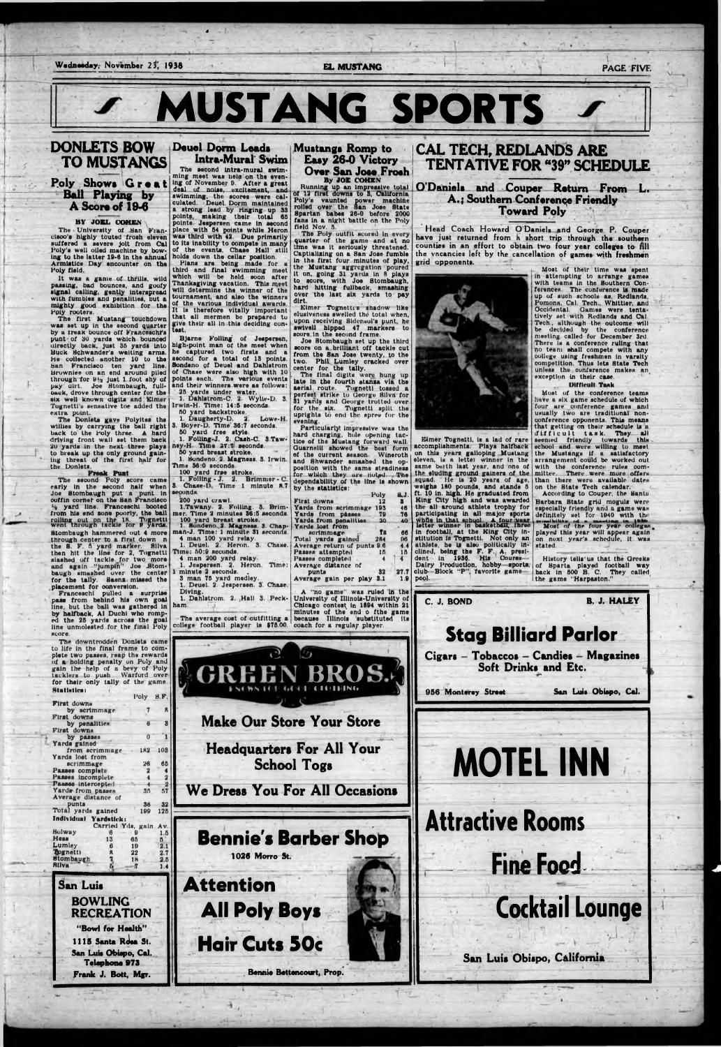4

# **DONLETS BOW TO MUSTANGS**

• f

**EL MUSTANG EL MUSTANG EL MUSTANG EL MUSTANG PAGE FIVE** 

**MUSTANG SPORTS**

## Poly Shows Groat Ball Playing by A Score of 19-6

 $\mathbb{T}$ 

### BY JOEL COHEN

The University of Man Francisco's highly touted froah eleven suffered a severe Jolt from Cal Poly's well oiled machine by bowing to the latter 10-8 In the ahnual Armistice Day encounter on the Holy field.

It was a game of thrills, wild passing, bad bounces, and goofy signal calling, gently Interspread with fumbles and penalities, but a mighty good exhibition for the Hpiy rooters.

The Donlets gave Polyites the willies by carrying the ball right back to the Holy three. A hard driving front wail set them back 30 yards in the next three plays to break up the only ground gaining threat of the first half for the Donleta.

The first Mustang touchdown was set up in the second quarter by a freak bounce off Franceschi's punt .of 30 yards which bounced directly back, Just 3ft yards Into Buok Schwander'a waiting arms. He collected another 10 to the San Francisco ten yard line. lirownlee on an end around piled through for 9<sup>1</sup>/<sub>2</sub> just 1 foot shy of pay dirt. Joe Htombaugh, fullback, drove through center for the six well known digits and Elmer Tognetti's sensative toe added the extra point,

to life In the final frame to complete two passes, reap the rewards of **a** holding penalty on Poly and gain the help of a bevy of Poly tackiers to push Warford over for their only tally of the game. Statistics:

**\_ ......... Frank P u n t .................** The second Poly score came early in the second half when Joe Stombaugh put a punt In coffin corner on the San Francisco ft yard line. Franceschl booted from his end sone poorly, the ball rolling out on the 18. Tognettl went Through tackle Tor *9* yards Htombaugh hammered out 4 more through center to a first down n the 8. F. A yard marker. Silva then hit the line for 3, Tognettl slashed ofr tackle for two more and again "Jumpin'' Joe Btombaugh smashed over the center for the tally. Saens missed the placement for oonversion.

Franceschl pulled a surprise score.

**25 yards under water.** 1. Dahlstrom-C. 2 Wylle-D. 3. lrwln-H. Time: 14:S seconds

4 man 200 yard relay 1. Jesperaen. 3- Heron. Time:  $1$  minute  $2$  seconds.  $\overline{\phantom{a}}$  .

## First downs

Mustangs Romp to Easy 26-0 Victory Over San Jose Frosh By JOE COHEN

Elmer Tognettis shadow like elusiveness swelled the total when, upon receiving Sidensol's punt, he awlvell hipped 47 markers to

# Deuel Dorm Leads Intra-Mural' Swim

The second Intra-mural swimming meet was held on the even-<br>ing of November 9. After a great ing of November 0. After a great deal of nolae, excitement, and swimming, the scores were calculated. Deuel Dorm maintained a strong lead by ringing up 33 point,, making their total 80 points. Jesperaen came In second place with 04 points while Heron was third with 42. Due primarily to Its Inability to compete in many of the events, Chase Hall still holds down the cellar position.

> A "no game" was ruled In tha University *of* Illlnols-Untvsrslty of Chicago contest in 1894 within 21

# **CAL TECH, REDLANDS ARE TENTATIVE FOR "39" SCHEDULE** —\*•— MoaisHSMaHBSHSsas •

Plans are being made for u third and final swimming meet which will be held soon after Thanksgiving vacation. This meet will determine the winner of the tournament, and also the winners of the various Individual awards. It Is therefore vitally Important that all mermen be prepared to give their all In this deciding contest.

I lead Conch Hownrd O'Daniels and George P. Couper have just returned from h short trip through the southern counties in an effort to obtain two four year colleges to nil the vacancies left by the cancellation of games with freshmen grid opponents.

accomplishments. Plays halfback on this years galloping Mustang sleven, Is a lettei winner in the same berth last year, and one of the eluding ground gainers of the squad. He Is 20 yearn of age, weighs 180 pounds, and stands ft ft. 10 In. high. He graduatsd from King City high and was awarded the all around athlete trophy for participating In all major sports while in that school. A four wear is the latter winner in baskstball, three In football, at the King City Institution Is Tognettl. Not only an athlete, he ig also politically Inclined, being the F. F. A. presldent in 1886, His Course Dairy Production, hobby sports, club— Block "P", favorite game pool.

BJarne Foiling of Jeapersen, hlgh-polnt man of the meet when he captured two firsts and a second for a total of 13 points. Sondeno of Deuel and Dahistrom of Chase were also high with 10 points each. The various events and their winners were as follows:

fiO yard backstroke. 1. Daugberty-D. 2. Lowe-H, 3. Boyer-D. Time 38:7 seconds.

Most of their time was spent In attempting to arrange games with teams in the Southern Conferences. The conference la made up of such schools as, Redlands. Pomona, Cal. Tech., Whittier, and Occidental. Games were tentatively set with Redlands and Cal. Tech., although the outcome will be decided by the conference meeting called for December 3rd. There is a conference ruling that no team shall compete with any college using freshmen in varsity competition. Thus lets State Tech unless the . conference makes an, exception in their case.

SO yard free style 1. Foiling-J. 2. Caah-C. 3.Taw-

ney-H Tims 2T:T second\*. SO yard breast stroke. 1. Sondeno. 2. Magnesa. 3. Irwin.

Time 36:0 seconds.

100 yard free stroke.<br>1. Folling - J. - 2. - Brimmer - C. 3. Chase-1) Time 1 minute 8.7 seconds.

200 yard crawl. l.Tawany 2. Foiling. 3- Brim-mer. Time 2 minutes 36:5 seconds.

100 yard breast stroke. 1. Sondeno. 2. Magneas. 3. Chap-mah-J. Time: 1 minute 31 seconds. 4 man 100 yard relay.

1. Deuel. 2. Heron. 3. Chase. Time: 50:9 seconds.

3 man 7B yard medley. 1. Deuel. 2. Jeapersen. 3. Chase. Diving.

Running up an lmpreaalve totul or 13 first downs Co 3, California Poly's vaunted power machine rolled over the San Joae State Spartan babes 28-0 before 2000 fans in a night battle on the Poly field Nov. S.

The Poly outfit scored in every quarter of the game and at no<br>time was it seriously threatened.<br>Cantialistas on a San Jaco fumble. me was It serloualy threatened. Captlallalng on a San Jose fumble in the first four minutes of play, the Mustang aggregation poured it on, going 31 yards in 8 plays to score, with Joe Stombaugh, hard hitting fullback, smashing over the last six yards to pay

dirt.

score In the second frame.

Joe Stombaugh set Up the third score on a brilliant off tackle cut from the San Joae twenty, to the two. Phil. Lumley cracked over center for the tally.

The final digits were hung up late in the fourth slants via the aerial route. Tognettl tossed a perfect strike to George Silva for 31 yard, and George trotted over for the six. Tognettl spill the uprights to end the spree for the evening.

Particularly impressive was the hard charging, hole opening tactice of the Mustang forward wall. Guarnelli showed the best form of the current season Winerpth and Shwander smashed the opposition with the same steadiness for which they are noted. The dependability of the line la shown by the statistics:



| Poly                        |     | <b>A.J.</b>              |
|-----------------------------|-----|--------------------------|
| First downs                 | 12  | a.                       |
| Yards from scrimmage        | 193 | 46                       |
| Yards from passes           | 79  | 76                       |
| Yards from penalities       | 30  | 40                       |
| Yards lost from             |     |                          |
| acrimmage                   | Ťв  | 66                       |
| Total yards gained          | 284 | 06                       |
| Average return of punts 9.6 |     | 4.4                      |
| Passes attempted            | 15  | 18                       |
| Passes completed            |     | $\overline{\phantom{a}}$ |
| Average distance of         |     |                          |
| punts                       | 32  | 27.7                     |
| Average gain per play 3.1   |     | 1.9                      |
|                             |     |                          |

## O'Daniels and Couper Return From L. A .; Southern Conference Friendly Toward Poly



### Difficult Tank

Most of the conference teams have a six game schedule of which four are conference games and usually two are traditional nonepnference opponents. ThU means that getting on their schedule Is a difficult task. They all seemed friendly towards this school and were willing to meet the Mustangs if a satisfactory arrangement could be worked out with the conference rules committee. There were more offers than there were available dates on the State Tech calendar.

According to Couper, the Santu Barbara State grid moguls were especially friendly mid a game was definitely set for 1040 with th< **Most of the four year colleges** played this year wilt appear again on next year's schedule, it was stated.

History tells'us that the Orceka of Sparta played football way , back in 500 B. C. They called, the game "Harpaaton."

*4*